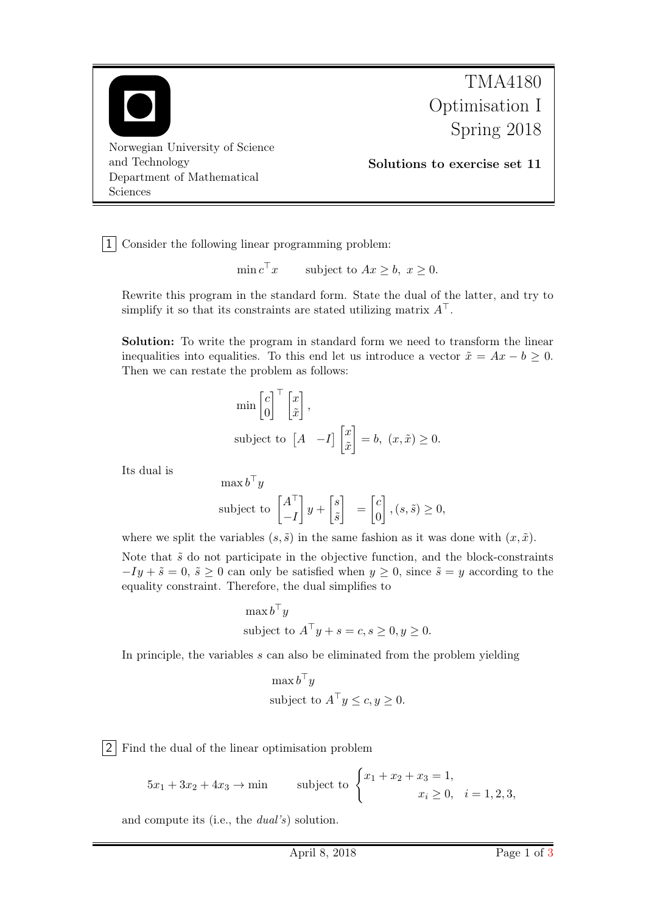

1 Consider the following linear programming problem:

$$
\min c^{\top} x \qquad \text{subject to } Ax \geq b, \ x \geq 0.
$$

Rewrite this program in the standard form. State the dual of the latter, and try to simplify it so that its constraints are stated utilizing matrix  $A^{\top}$ .

Solution: To write the program in standard form we need to transform the linear inequalities into equalities. To this end let us introduce a vector  $\tilde{x} = Ax - b \geq 0$ . Then we can restate the problem as follows:

$$
\min\begin{bmatrix}c\\0\end{bmatrix}^{\top}\begin{bmatrix}x\\ \tilde{x}\end{bmatrix},
$$
\nsubject to 
$$
\begin{bmatrix}A & -I\end{bmatrix}\begin{bmatrix}x\\ \tilde{x}\end{bmatrix} = b, (x, \tilde{x}) \ge 0.
$$

Its dual is

$$
\max b^{\top} y
$$
  
subject to  $\begin{bmatrix} A^{\top} \\ -I \end{bmatrix} y + \begin{bmatrix} s \\ \tilde{s} \end{bmatrix} = \begin{bmatrix} c \\ 0 \end{bmatrix}, (s, \tilde{s}) \ge 0,$ 

where we split the variables  $(s, \tilde{s})$  in the same fashion as it was done with  $(x, \tilde{x})$ .

Note that  $\tilde{s}$  do not participate in the objective function, and the block-constraints  $-Iy + \tilde{s} = 0$ ,  $\tilde{s} \ge 0$  can only be satisfied when  $y \ge 0$ , since  $\tilde{s} = y$  according to the equality constraint. Therefore, the dual simplifies to

$$
\max b^{\top} y
$$
  
subject to  $A^{\top} y + s = c, s \ge 0, y \ge 0$ .

In principle, the variables s can also be eliminated from the problem yielding

$$
\max b^{\top} y
$$
  
subject to  $A^{\top} y \le c, y \ge 0$ .

2 Find the dual of the linear optimisation problem

$$
5x_1 + 3x_2 + 4x_3 \to \min
$$
 subject to 
$$
\begin{cases} x_1 + x_2 + x_3 = 1, \\ x_i \ge 0, \quad i = 1, 2, 3, \end{cases}
$$

and compute its (i.e., the dual's) solution.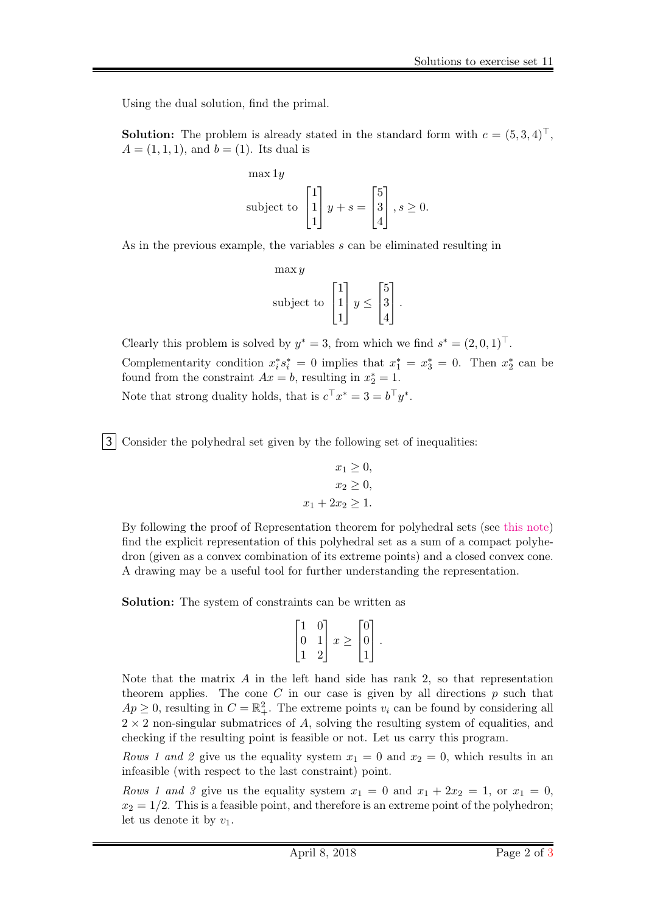Using the dual solution, find the primal.

**Solution:** The problem is already stated in the standard form with  $c = (5, 3, 4)^{\top}$ ,  $A = (1, 1, 1)$ , and  $b = (1)$ . Its dual is

$$
\begin{aligned}\n\max 1y \\
\text{subject to} \quad \begin{bmatrix} 1 \\ 1 \\ 1 \end{bmatrix} y + s &= \begin{bmatrix} 5 \\ 3 \\ 4 \end{bmatrix}, s \ge 0.\n\end{aligned}
$$

As in the previous example, the variables s can be eliminated resulting in

$$
\max y
$$
\nsubject to\n
$$
\begin{bmatrix}\n1 \\
1 \\
1\n\end{bmatrix}\n y \le \begin{bmatrix}\n5 \\
3 \\
4\n\end{bmatrix}.
$$

Clearly this problem is solved by  $y^* = 3$ , from which we find  $s^* = (2, 0, 1)^\top$ . Complementarity condition  $x_i^* s_i^* = 0$  implies that  $x_1^* = x_3^* = 0$ . Then  $x_2^*$  can be found from the constraint  $Ax = b$ , resulting in  $x_2^* = 1$ . Note that strong duality holds, that is  $c^{\top} x^* = 3 = b^{\top} y^*$ .

3 Consider the polyhedral set given by the following set of inequalities:

$$
x_1 \ge 0,
$$
  
\n
$$
x_2 \ge 0,
$$
  
\n
$$
x_1 + 2x_2 \ge 1.
$$

By following the proof of Representation theorem for polyhedral sets (see [this note\)](https://wiki.math.ntnu.no/_media/tma4180/2018v/note16.pdf) find the explicit representation of this polyhedral set as a sum of a compact polyhedron (given as a convex combination of its extreme points) and a closed convex cone. A drawing may be a useful tool for further understanding the representation.

Solution: The system of constraints can be written as

$$
\begin{bmatrix} 1 & 0 \\ 0 & 1 \\ 1 & 2 \end{bmatrix} x \ge \begin{bmatrix} 0 \\ 0 \\ 1 \end{bmatrix}.
$$

Note that the matrix A in the left hand side has rank 2, so that representation theorem applies. The cone C in our case is given by all directions  $p$  such that  $Ap \geq 0$ , resulting in  $C = \mathbb{R}^2_+$ . The extreme points  $v_i$  can be found by considering all  $2 \times 2$  non-singular submatrices of A, solving the resulting system of equalities, and checking if the resulting point is feasible or not. Let us carry this program.

Rows 1 and 2 give us the equality system  $x_1 = 0$  and  $x_2 = 0$ , which results in an infeasible (with respect to the last constraint) point.

Rows 1 and 3 give us the equality system  $x_1 = 0$  and  $x_1 + 2x_2 = 1$ , or  $x_1 = 0$ ,  $x_2 = 1/2$ . This is a feasible point, and therefore is an extreme point of the polyhedron; let us denote it by  $v_1$ .